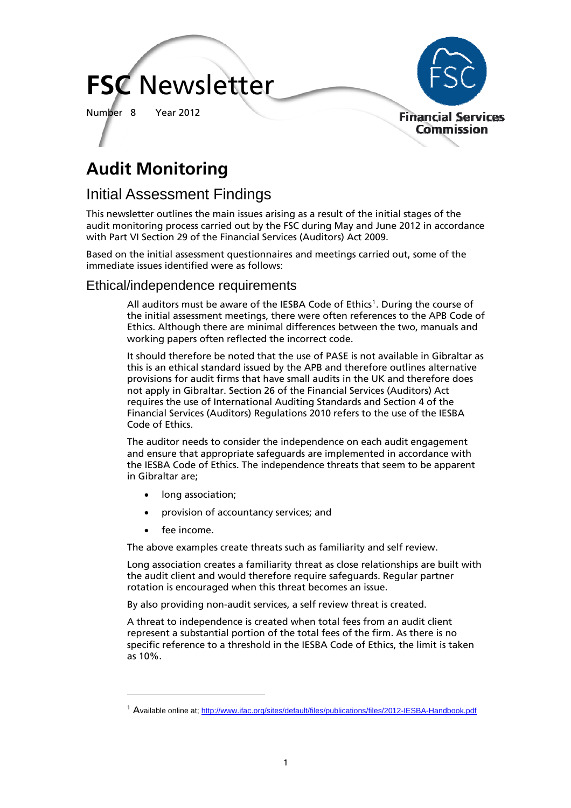# **FSC** Newsletter

Number 8 Year 2012



## **Audit Monitoring**

### Initial Assessment Findings

This newsletter outlines the main issues arising as a result of the initial stages of the audit monitoring process carried out by the FSC during May and June 2012 in accordance with Part VI Section 29 of the Financial Services (Auditors) Act 2009.

Based on the initial assessment questionnaires and meetings carried out, some of the immediate issues identified were as follows:

#### Ethical/independence requirements

All auditors must be aware of the IESBA Code of Ethics<sup>[1](#page-0-0)</sup>. During the course of the initial assessment meetings, there were often references to the APB Code of Ethics. Although there are minimal differences between the two, manuals and working papers often reflected the incorrect code.

It should therefore be noted that the use of PASE is not available in Gibraltar as this is an ethical standard issued by the APB and therefore outlines alternative provisions for audit firms that have small audits in the UK and therefore does not apply in Gibraltar. Section 26 of the Financial Services (Auditors) Act requires the use of International Auditing Standards and Section 4 of the Financial Services (Auditors) Regulations 2010 refers to the use of the IESBA Code of Ethics.

The auditor needs to consider the independence on each audit engagement and ensure that appropriate safeguards are implemented in accordance with the IESBA Code of Ethics. The independence threats that seem to be apparent in Gibraltar are;

- long association;
- provision of accountancy services; and
- fee income.

l

The above examples create threats such as familiarity and self review.

Long association creates a familiarity threat as close relationships are built with the audit client and would therefore require safeguards. Regular partner rotation is encouraged when this threat becomes an issue.

By also providing non-audit services, a self review threat is created.

A threat to independence is created when total fees from an audit client represent a substantial portion of the total fees of the firm. As there is no specific reference to a threshold in the IESBA Code of Ethics, the limit is taken as 10%.

<span id="page-0-0"></span><sup>&</sup>lt;sup>1</sup> Available online at; <http://www.ifac.org/sites/default/files/publications/files/2012-IESBA-Handbook.pdf>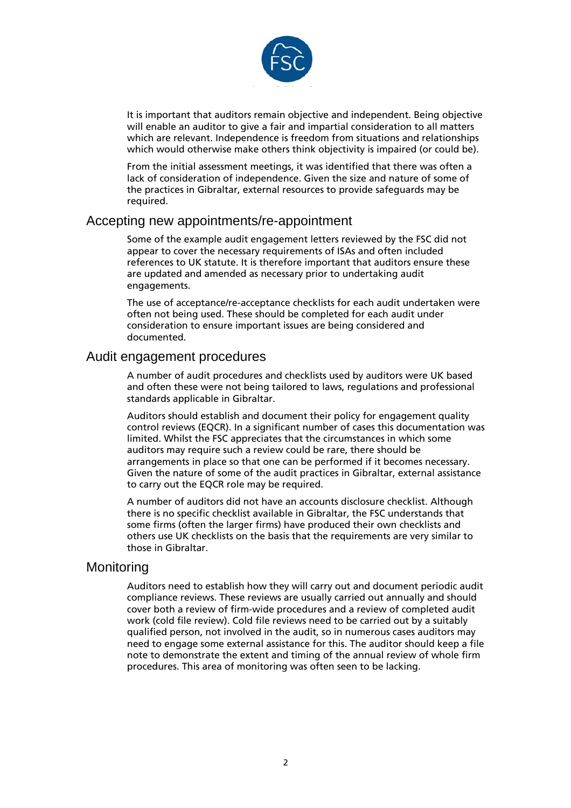

It is important that auditors remain objective and independent. Being objective will enable an auditor to give a fair and impartial consideration to all matters which are relevant. Independence is freedom from situations and relationships which would otherwise make others think objectivity is impaired (or could be).

From the initial assessment meetings, it was identified that there was often a lack of consideration of independence. Given the size and nature of some of the practices in Gibraltar, external resources to provide safeguards may be required.

#### Accepting new appointments/re-appointment

Some of the example audit engagement letters reviewed by the FSC did not appear to cover the necessary requirements of ISAs and often included references to UK statute. It is therefore important that auditors ensure these are updated and amended as necessary prior to undertaking audit engagements.

The use of acceptance/re-acceptance checklists for each audit undertaken were often not being used. These should be completed for each audit under consideration to ensure important issues are being considered and documented.

#### Audit engagement procedures

A number of audit procedures and checklists used by auditors were UK based and often these were not being tailored to laws, regulations and professional standards applicable in Gibraltar.

Auditors should establish and document their policy for engagement quality control reviews (EQCR). In a significant number of cases this documentation was limited. Whilst the FSC appreciates that the circumstances in which some auditors may require such a review could be rare, there should be arrangements in place so that one can be performed if it becomes necessary. Given the nature of some of the audit practices in Gibraltar, external assistance to carry out the EQCR role may be required.

A number of auditors did not have an accounts disclosure checklist. Although there is no specific checklist available in Gibraltar, the FSC understands that some firms (often the larger firms) have produced their own checklists and others use UK checklists on the basis that the requirements are very similar to those in Gibraltar.

#### **Monitoring**

Auditors need to establish how they will carry out and document periodic audit compliance reviews. These reviews are usually carried out annually and should cover both a review of firm-wide procedures and a review of completed audit work (cold file review). Cold file reviews need to be carried out by a suitably qualified person, not involved in the audit, so in numerous cases auditors may need to engage some external assistance for this. The auditor should keep a file note to demonstrate the extent and timing of the annual review of whole firm procedures. This area of monitoring was often seen to be lacking.